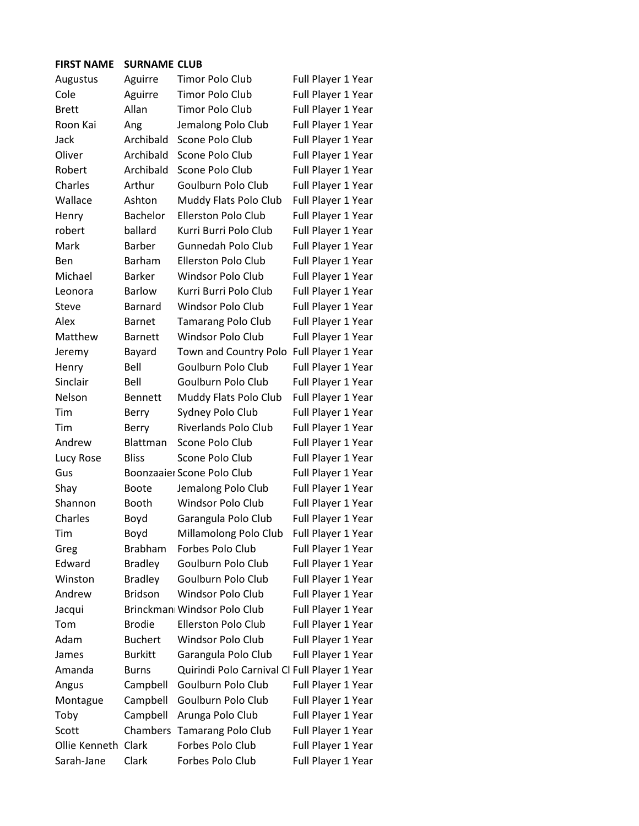## **FIRST NAME SURNAME CLUB**

| Augustus      | Aguirre         | <b>Timor Polo Club</b>                       | Full Player 1 Year |  |
|---------------|-----------------|----------------------------------------------|--------------------|--|
| Cole          | Aguirre         | Timor Polo Club                              | Full Player 1 Year |  |
| <b>Brett</b>  | Allan           | Timor Polo Club                              | Full Player 1 Year |  |
| Roon Kai      | Ang             | Jemalong Polo Club                           | Full Player 1 Year |  |
| Jack          | Archibald       | Scone Polo Club                              | Full Player 1 Year |  |
| Oliver        | Archibald       | Scone Polo Club                              | Full Player 1 Year |  |
| Robert        | Archibald       | Scone Polo Club                              | Full Player 1 Year |  |
| Charles       | Arthur          | Goulburn Polo Club                           | Full Player 1 Year |  |
| Wallace       | Ashton          | Muddy Flats Polo Club                        | Full Player 1 Year |  |
| Henry         | <b>Bachelor</b> | <b>Ellerston Polo Club</b>                   | Full Player 1 Year |  |
| robert        | ballard         | Kurri Burri Polo Club                        | Full Player 1 Year |  |
| Mark          | <b>Barber</b>   | Gunnedah Polo Club                           | Full Player 1 Year |  |
| <b>Ben</b>    | <b>Barham</b>   | Ellerston Polo Club                          | Full Player 1 Year |  |
| Michael       | <b>Barker</b>   | Windsor Polo Club                            | Full Player 1 Year |  |
| Leonora       | <b>Barlow</b>   | Kurri Burri Polo Club                        | Full Player 1 Year |  |
| <b>Steve</b>  | <b>Barnard</b>  | Windsor Polo Club                            | Full Player 1 Year |  |
| Alex          | <b>Barnet</b>   | <b>Tamarang Polo Club</b>                    | Full Player 1 Year |  |
| Matthew       | <b>Barnett</b>  | <b>Windsor Polo Club</b>                     | Full Player 1 Year |  |
| Jeremy        | Bayard          | Town and Country Polo Full Player 1 Year     |                    |  |
| Henry         | Bell            | Goulburn Polo Club                           | Full Player 1 Year |  |
| Sinclair      | Bell            | Goulburn Polo Club                           | Full Player 1 Year |  |
| Nelson        | <b>Bennett</b>  | Muddy Flats Polo Club                        | Full Player 1 Year |  |
| Tim           | Berry           | Sydney Polo Club                             | Full Player 1 Year |  |
| Tim           | Berry           | <b>Riverlands Polo Club</b>                  | Full Player 1 Year |  |
| Andrew        | <b>Blattman</b> | Scone Polo Club                              | Full Player 1 Year |  |
| Lucy Rose     | <b>Bliss</b>    | Scone Polo Club                              | Full Player 1 Year |  |
| Gus           |                 | Boonzaaier Scone Polo Club                   | Full Player 1 Year |  |
| Shay          | <b>Boote</b>    | Jemalong Polo Club                           | Full Player 1 Year |  |
| Shannon       | <b>Booth</b>    | Windsor Polo Club                            | Full Player 1 Year |  |
| Charles       | Boyd            | Garangula Polo Club                          | Full Player 1 Year |  |
| Tim           | Boyd            | Millamolong Polo Club                        | Full Player 1 Year |  |
| Greg          | <b>Brabham</b>  | Forbes Polo Club                             | Full Player 1 Year |  |
| Edward        | <b>Bradley</b>  | Goulburn Polo Club                           | Full Player 1 Year |  |
| Winston       | <b>Bradley</b>  | Goulburn Polo Club                           | Full Player 1 Year |  |
| Andrew        | <b>Bridson</b>  | <b>Windsor Polo Club</b>                     | Full Player 1 Year |  |
| Jacqui        |                 | Brinckmanı Windsor Polo Club                 | Full Player 1 Year |  |
| Tom           | <b>Brodie</b>   | <b>Ellerston Polo Club</b>                   | Full Player 1 Year |  |
| Adam          | <b>Buchert</b>  | Windsor Polo Club                            | Full Player 1 Year |  |
| James         | <b>Burkitt</b>  | Garangula Polo Club                          | Full Player 1 Year |  |
| Amanda        | <b>Burns</b>    | Quirindi Polo Carnival Cl Full Player 1 Year |                    |  |
| Angus         | Campbell        | Goulburn Polo Club                           | Full Player 1 Year |  |
| Montague      | Campbell        | Goulburn Polo Club                           | Full Player 1 Year |  |
| Toby          | Campbell        | Arunga Polo Club                             | Full Player 1 Year |  |
| Scott         | Chambers        | <b>Tamarang Polo Club</b>                    | Full Player 1 Year |  |
| Ollie Kenneth | Clark           | Forbes Polo Club                             | Full Player 1 Year |  |
| Sarah-Jane    | Clark           | Forbes Polo Club                             | Full Player 1 Year |  |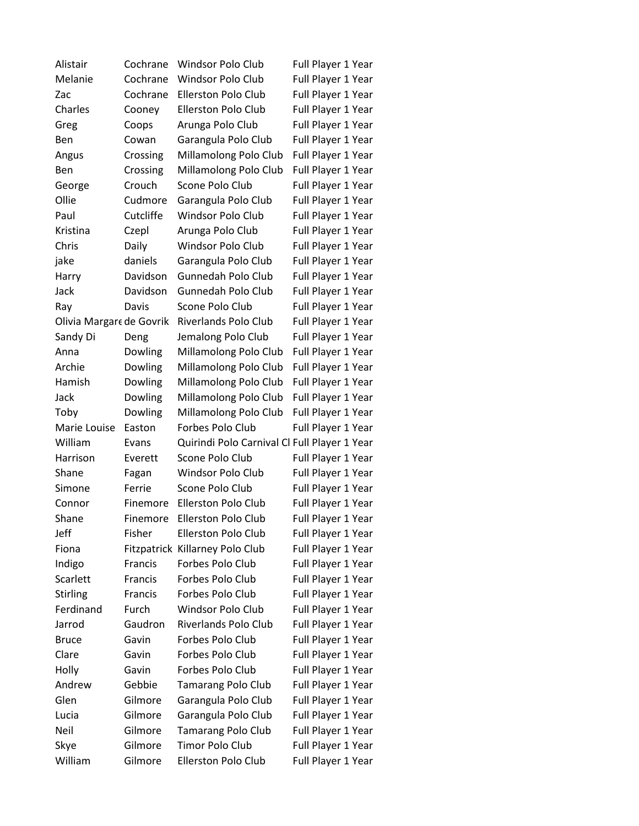| Alistair                 | Cochrane  | Windsor Polo Club                            | Full Player 1 Year |
|--------------------------|-----------|----------------------------------------------|--------------------|
| Melanie                  | Cochrane  | Windsor Polo Club                            | Full Player 1 Year |
| Zac                      | Cochrane  | <b>Ellerston Polo Club</b>                   | Full Player 1 Year |
| Charles                  | Cooney    | <b>Ellerston Polo Club</b>                   | Full Player 1 Year |
| Greg                     | Coops     | Arunga Polo Club                             | Full Player 1 Year |
| Ben                      | Cowan     | Garangula Polo Club                          | Full Player 1 Year |
| Angus                    | Crossing  | Millamolong Polo Club                        | Full Player 1 Year |
| Ben                      | Crossing  | Millamolong Polo Club                        | Full Player 1 Year |
| George                   | Crouch    | Scone Polo Club                              | Full Player 1 Year |
| Ollie                    | Cudmore   | Garangula Polo Club                          | Full Player 1 Year |
| Paul                     | Cutcliffe | <b>Windsor Polo Club</b>                     | Full Player 1 Year |
| Kristina                 | Czepl     | Arunga Polo Club                             | Full Player 1 Year |
| Chris                    | Daily     | Windsor Polo Club                            | Full Player 1 Year |
| jake                     | daniels   | Garangula Polo Club                          | Full Player 1 Year |
| Harry                    | Davidson  | Gunnedah Polo Club                           | Full Player 1 Year |
| Jack                     | Davidson  | <b>Gunnedah Polo Club</b>                    | Full Player 1 Year |
| Ray                      | Davis     | Scone Polo Club                              | Full Player 1 Year |
| Olivia Margare de Govrik |           | Riverlands Polo Club                         | Full Player 1 Year |
| Sandy Di                 | Deng      | Jemalong Polo Club                           | Full Player 1 Year |
| Anna                     | Dowling   | Millamolong Polo Club                        | Full Player 1 Year |
| Archie                   | Dowling   | Millamolong Polo Club                        | Full Player 1 Year |
| Hamish                   | Dowling   | Millamolong Polo Club                        | Full Player 1 Year |
| Jack                     | Dowling   | Millamolong Polo Club                        | Full Player 1 Year |
| Toby                     | Dowling   | Millamolong Polo Club                        | Full Player 1 Year |
| Marie Louise             | Easton    | Forbes Polo Club                             | Full Player 1 Year |
| William                  | Evans     | Quirindi Polo Carnival Cl Full Player 1 Year |                    |
| Harrison                 | Everett   | Scone Polo Club                              | Full Player 1 Year |
| Shane                    | Fagan     | Windsor Polo Club                            | Full Player 1 Year |
| Simone                   | Ferrie    | Scone Polo Club                              | Full Player 1 Year |
| Connor                   | Finemore  | <b>Ellerston Polo Club</b>                   | Full Player 1 Year |
| Shane                    | Finemore  | <b>Ellerston Polo Club</b>                   | Full Player 1 Year |
| Jeff                     | Fisher    | <b>Ellerston Polo Club</b>                   | Full Player 1 Year |
| Fiona                    |           | Fitzpatrick Killarney Polo Club              | Full Player 1 Year |
| Indigo                   | Francis   | Forbes Polo Club                             | Full Player 1 Year |
| Scarlett                 | Francis   | Forbes Polo Club                             | Full Player 1 Year |
| <b>Stirling</b>          | Francis   | Forbes Polo Club                             | Full Player 1 Year |
| Ferdinand                | Furch     | Windsor Polo Club                            | Full Player 1 Year |
| Jarrod                   | Gaudron   | <b>Riverlands Polo Club</b>                  | Full Player 1 Year |
| <b>Bruce</b>             | Gavin     | Forbes Polo Club                             | Full Player 1 Year |
| Clare                    | Gavin     | Forbes Polo Club                             | Full Player 1 Year |
| Holly                    | Gavin     | Forbes Polo Club                             | Full Player 1 Year |
| Andrew                   | Gebbie    | <b>Tamarang Polo Club</b>                    | Full Player 1 Year |
| Glen                     | Gilmore   | Garangula Polo Club                          | Full Player 1 Year |
| Lucia                    | Gilmore   | Garangula Polo Club                          | Full Player 1 Year |
| Neil                     | Gilmore   | <b>Tamarang Polo Club</b>                    | Full Player 1 Year |
| Skye                     | Gilmore   | Timor Polo Club                              | Full Player 1 Year |
| William                  | Gilmore   | <b>Ellerston Polo Club</b>                   | Full Player 1 Year |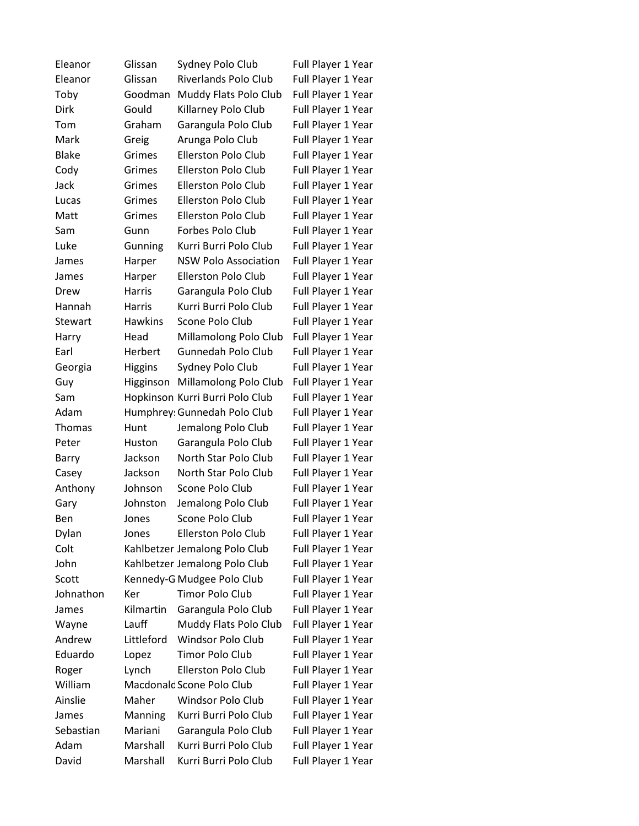| Eleanor        | Glissan        | Sydney Polo Club                | Full Player 1 Year |
|----------------|----------------|---------------------------------|--------------------|
| Eleanor        | Glissan        | <b>Riverlands Polo Club</b>     | Full Player 1 Year |
| Toby           | Goodman        | Muddy Flats Polo Club           | Full Player 1 Year |
| Dirk           | Gould          | Killarney Polo Club             | Full Player 1 Year |
| Tom            | Graham         | Garangula Polo Club             | Full Player 1 Year |
| Mark           | Greig          | Arunga Polo Club                | Full Player 1 Year |
| <b>Blake</b>   | Grimes         | <b>Ellerston Polo Club</b>      | Full Player 1 Year |
| Cody           | Grimes         | Ellerston Polo Club             | Full Player 1 Year |
| Jack           | Grimes         | <b>Ellerston Polo Club</b>      | Full Player 1 Year |
| Lucas          | Grimes         | <b>Ellerston Polo Club</b>      | Full Player 1 Year |
| Matt           | Grimes         | Ellerston Polo Club             | Full Player 1 Year |
| Sam            | Gunn           | Forbes Polo Club                | Full Player 1 Year |
| Luke           | Gunning        | Kurri Burri Polo Club           | Full Player 1 Year |
| James          | Harper         | <b>NSW Polo Association</b>     | Full Player 1 Year |
| James          | Harper         | <b>Ellerston Polo Club</b>      | Full Player 1 Year |
| Drew           | <b>Harris</b>  | Garangula Polo Club             | Full Player 1 Year |
| Hannah         | <b>Harris</b>  | Kurri Burri Polo Club           | Full Player 1 Year |
| <b>Stewart</b> | <b>Hawkins</b> | Scone Polo Club                 | Full Player 1 Year |
| Harry          | Head           | Millamolong Polo Club           | Full Player 1 Year |
| Earl           | Herbert        | Gunnedah Polo Club              | Full Player 1 Year |
| Georgia        | Higgins        | Sydney Polo Club                | Full Player 1 Year |
| Guy            | Higginson      | Millamolong Polo Club           | Full Player 1 Year |
| Sam            |                | Hopkinson Kurri Burri Polo Club | Full Player 1 Year |
| Adam           |                | Humphrey: Gunnedah Polo Club    | Full Player 1 Year |
| <b>Thomas</b>  | Hunt           | Jemalong Polo Club              | Full Player 1 Year |
| Peter          | Huston         | Garangula Polo Club             | Full Player 1 Year |
| Barry          | Jackson        | North Star Polo Club            | Full Player 1 Year |
| Casey          | Jackson        | North Star Polo Club            | Full Player 1 Year |
| Anthony        | Johnson        | Scone Polo Club                 | Full Player 1 Year |
| Gary           | Johnston       | Jemalong Polo Club              | Full Player 1 Year |
| Ben            | Jones          | Scone Polo Club                 | Full Player 1 Year |
| Dylan          | Jones          | <b>Ellerston Polo Club</b>      | Full Player 1 Year |
| Colt           |                | Kahlbetzer Jemalong Polo Club   | Full Player 1 Year |
| John           |                | Kahlbetzer Jemalong Polo Club   | Full Player 1 Year |
| Scott          |                | Kennedy-G Mudgee Polo Club      | Full Player 1 Year |
| Johnathon      | Ker            | Timor Polo Club                 | Full Player 1 Year |
| James          | Kilmartin      | Garangula Polo Club             | Full Player 1 Year |
| Wayne          | Lauff          | Muddy Flats Polo Club           | Full Player 1 Year |
| Andrew         | Littleford     | Windsor Polo Club               | Full Player 1 Year |
| Eduardo        | Lopez          | <b>Timor Polo Club</b>          | Full Player 1 Year |
| Roger          | Lynch          | <b>Ellerston Polo Club</b>      | Full Player 1 Year |
| William        |                | Macdonald Scone Polo Club       | Full Player 1 Year |
| Ainslie        | Maher          | Windsor Polo Club               | Full Player 1 Year |
| James          | <b>Manning</b> | Kurri Burri Polo Club           | Full Player 1 Year |
| Sebastian      | Mariani        | Garangula Polo Club             | Full Player 1 Year |
| Adam           | Marshall       | Kurri Burri Polo Club           | Full Player 1 Year |
| David          | Marshall       | Kurri Burri Polo Club           | Full Player 1 Year |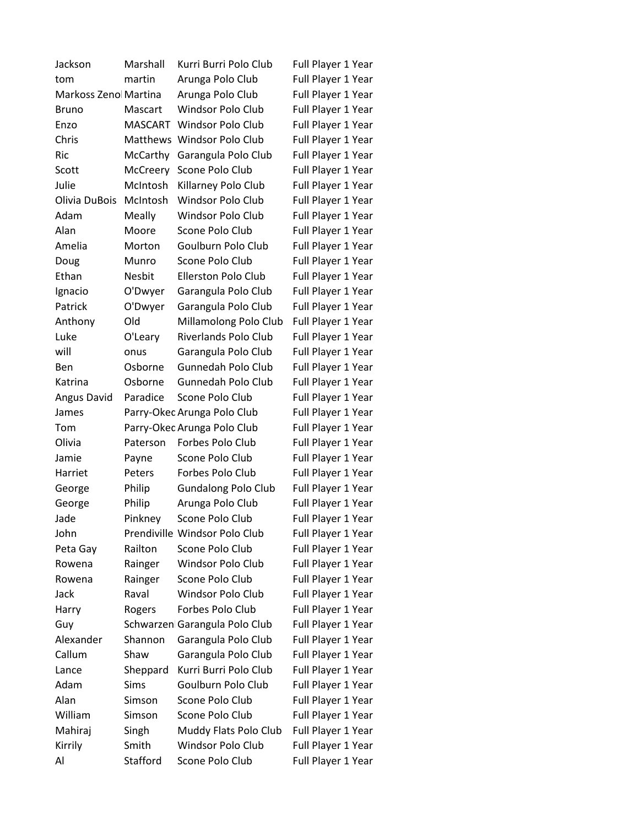| Jackson              | Marshall        | Kurri Burri Polo Club         | <b>Full Player 1 Year</b> |
|----------------------|-----------------|-------------------------------|---------------------------|
| tom                  | martin          | Arunga Polo Club              | Full Player 1 Year        |
| Markoss Zeno Martina |                 | Arunga Polo Club              | Full Player 1 Year        |
| <b>Bruno</b>         | Mascart         | <b>Windsor Polo Club</b>      | Full Player 1 Year        |
| Enzo                 | MASCART         | Windsor Polo Club             | Full Player 1 Year        |
| Chris                | <b>Matthews</b> | Windsor Polo Club             | Full Player 1 Year        |
| Ric                  | McCarthy        | Garangula Polo Club           | Full Player 1 Year        |
| Scott                | McCreery        | Scone Polo Club               | Full Player 1 Year        |
| Julie                | McIntosh        | Killarney Polo Club           | Full Player 1 Year        |
| Olivia DuBois        | McIntosh        | Windsor Polo Club             | Full Player 1 Year        |
| Adam                 | Meally          | Windsor Polo Club             | Full Player 1 Year        |
| Alan                 | Moore           | Scone Polo Club               | Full Player 1 Year        |
| Amelia               | Morton          | Goulburn Polo Club            | Full Player 1 Year        |
| Doug                 | Munro           | Scone Polo Club               | Full Player 1 Year        |
| Ethan                | Nesbit          | <b>Ellerston Polo Club</b>    | Full Player 1 Year        |
| Ignacio              | O'Dwyer         | Garangula Polo Club           | Full Player 1 Year        |
| Patrick              | O'Dwyer         | Garangula Polo Club           | Full Player 1 Year        |
| Anthony              | Old             | Millamolong Polo Club         | Full Player 1 Year        |
| Luke                 | O'Leary         | <b>Riverlands Polo Club</b>   | Full Player 1 Year        |
| will                 | onus            | Garangula Polo Club           | Full Player 1 Year        |
| <b>Ben</b>           | Osborne         | Gunnedah Polo Club            | Full Player 1 Year        |
| Katrina              | Osborne         | Gunnedah Polo Club            | Full Player 1 Year        |
| Angus David          | Paradice        | Scone Polo Club               | Full Player 1 Year        |
| James                |                 | Parry-Oked Arunga Polo Club   | Full Player 1 Year        |
| Tom                  |                 | Parry-Oked Arunga Polo Club   | Full Player 1 Year        |
| Olivia               | Paterson        | Forbes Polo Club              | Full Player 1 Year        |
| Jamie                | Payne           | Scone Polo Club               | Full Player 1 Year        |
| Harriet              | Peters          | Forbes Polo Club              | Full Player 1 Year        |
| George               | Philip          | <b>Gundalong Polo Club</b>    | Full Player 1 Year        |
| George               | Philip          | Arunga Polo Club              | Full Player 1 Year        |
| Jade                 | Pinkney         | Scone Polo Club               | Full Player 1 Year        |
| John                 |                 | Prendiville Windsor Polo Club | Full Player 1 Year        |
| Peta Gay             | Railton         | Scone Polo Club               | Full Player 1 Year        |
| Rowena               | Rainger         | Windsor Polo Club             | Full Player 1 Year        |
| Rowena               | Rainger         | Scone Polo Club               | Full Player 1 Year        |
| Jack                 | Raval           | Windsor Polo Club             | Full Player 1 Year        |
| Harry                | Rogers          | Forbes Polo Club              | Full Player 1 Year        |
| Guy                  |                 | Schwarzen Garangula Polo Club | Full Player 1 Year        |
| Alexander            | Shannon         | Garangula Polo Club           | Full Player 1 Year        |
| Callum               | Shaw            | Garangula Polo Club           | Full Player 1 Year        |
| Lance                | Sheppard        | Kurri Burri Polo Club         | Full Player 1 Year        |
| Adam                 | Sims            | Goulburn Polo Club            | Full Player 1 Year        |
| Alan                 | Simson          | Scone Polo Club               | Full Player 1 Year        |
| William              | Simson          | Scone Polo Club               | Full Player 1 Year        |
| Mahiraj              | Singh           | Muddy Flats Polo Club         | Full Player 1 Year        |
| Kirrily              | Smith           | Windsor Polo Club             | Full Player 1 Year        |
| Al                   | Stafford        | Scone Polo Club               | Full Player 1 Year        |